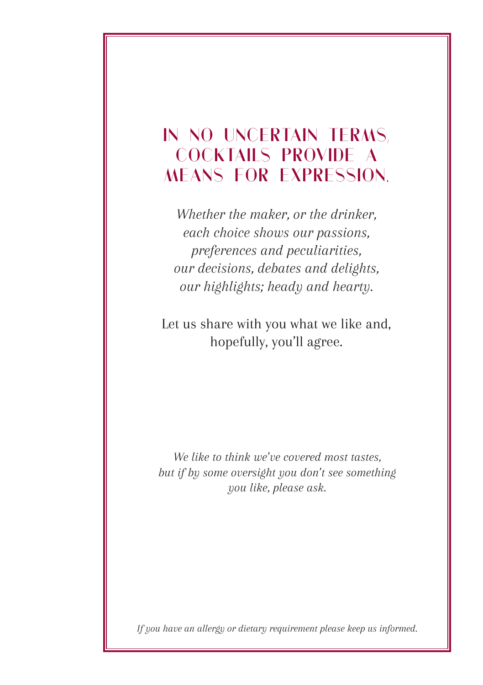### **IN NO UNCERTAIN TERMS, COCKTAILS PROVIDE A MEANS FOR EXPRESSION.**

*Whether the maker, or the drinker, each choice shows our passions, preferences and peculiarities, our decisions, debates and delights, our highlights; heady and hearty.*

Let us share with you what we like and, hopefully, you'll agree.

*We like to think we've covered most tastes, but if by some oversight you don't see something you like, please ask.*

*If you have an allergy or dietary requirement please keep us informed.*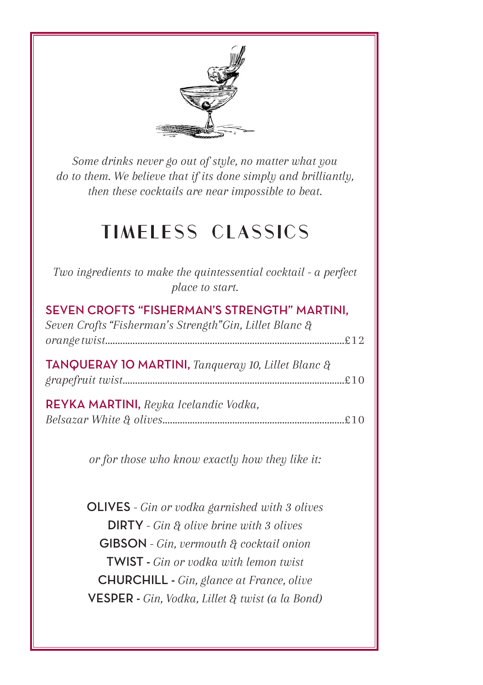

*Some drinks never go out of style, no matter what you do to them. We believe that if its done simply and brilliantly, then these cocktails are near impossible to beat.*

## **TIMELESS CLASSICS**

| Two ingredients to make the quintessential cocktail - a perfect<br>place to start.                      |  |
|---------------------------------------------------------------------------------------------------------|--|
| SEVEN CROFTS "FISHERMAN'S STRENGTH" MARTINI,<br>Seven Crofts "Fisherman's Strength" Gin, Lillet Blanc & |  |
| <b>TANQUERAY 10 MARTINI,</b> Tangueray 10, Lillet Blanc $\partial_t$                                    |  |
| REYKA MARTINI, Reyka Icelandic Vodka,                                                                   |  |
| or for those who know exactly how they like it:                                                         |  |
| <b>OLIVES</b> - Gin or vodka garnished with 3 olives                                                    |  |
| <b>DIRTY</b> - Gin $\mathcal{X}$ olive brine with 3 olives<br>GIBSON - Gin, vermouth & cocktail onion   |  |
| <b>TWIST</b> - Gin or vodka with lemon twist                                                            |  |

CHURCHILL - *Gin, glance at France, olive* VESPER - *Gin, Vodka, Lillet & twist (a la Bond)*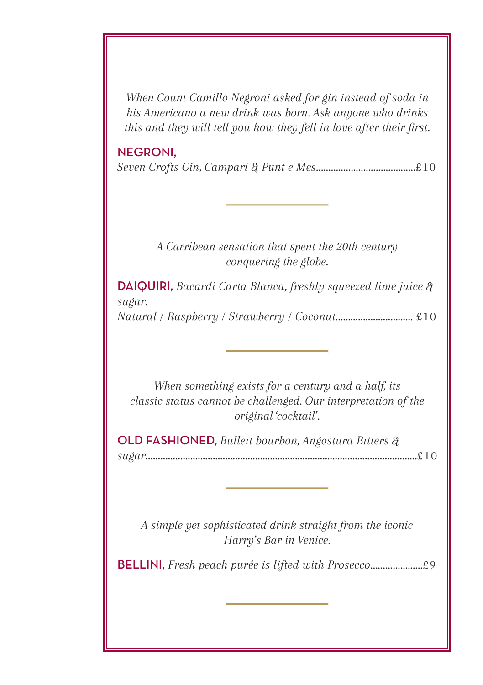*When Count Camillo Negroni asked for gin instead of soda in his Americano a new drink was born. Ask anyone who drinks this and they will tell you how they fell in love after their first.*

#### NEGRONI,

*Seven Crofts Gin, Campari & Punt e Mes........................................*£10

#### *A Carribean sensation that spent the 20th century conquering the globe.*

DAIQUIRI, *Bacardi Carta Blanca, freshly squeezed lime juice & sugar.*

*Natural / Raspberry / Strawberry / Coconut...............................* £10

*When something exists for a century and a half, its classic status cannot be challenged. Our interpretation of the original 'cocktail'.*

OLD FASHIONED, *Bulleit bourbon, Angostura Bitters & sugar.............................................................................................................*£10

*A simple yet sophisticated drink straight from the iconic Harry's Bar in Venice.*

BELLINI, *Fresh peach purée is lifted with Prosecco.....................*£9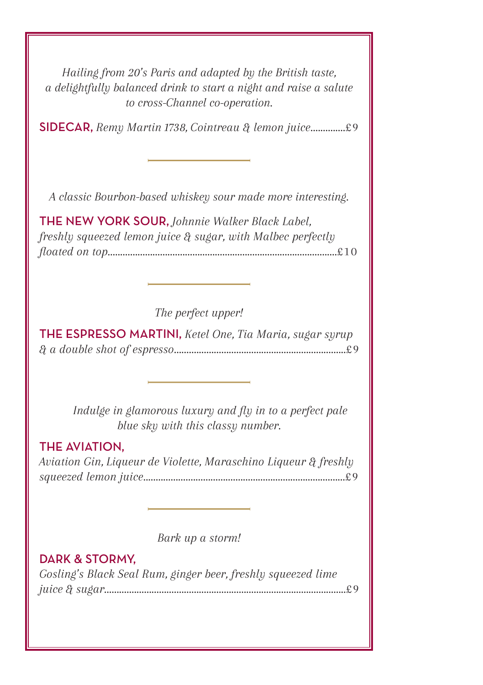*Hailing from 20's Paris and adapted by the British taste, a delightfully balanced drink to start a night and raise a salute to cross-Channel co-operation.*

SIDECAR, *Remy Martin 1738, Cointreau & lemon juice..............*£9

*A classic Bourbon-based whiskey sour made more interesting.*

THE NEW YORK SOUR, *Johnnie Walker Black Label, freshly squeezed lemon juice & sugar, with Malbec perfectly floated on top............................................................................................*£10

*The perfect upper!*

THE ESPRESSO MARTINI, *Ketel One, Tia Maria, sugar syrup & a double shot of espresso.....................................................................*£9

> *Indulge in glamorous luxury and fly in to a perfect pale blue sky with this classy number.*

#### THE AVIATION,

*Aviation Gin, Liqueur de Violette, Maraschino Liqueur & freshly squeezed lemon juice.................................................................................*£9

*Bark up a storm!*

#### DARK & STORMY,

*Gosling's Black Seal Rum, ginger beer, freshly squeezed lime juice & sugar.................................................................................................*£9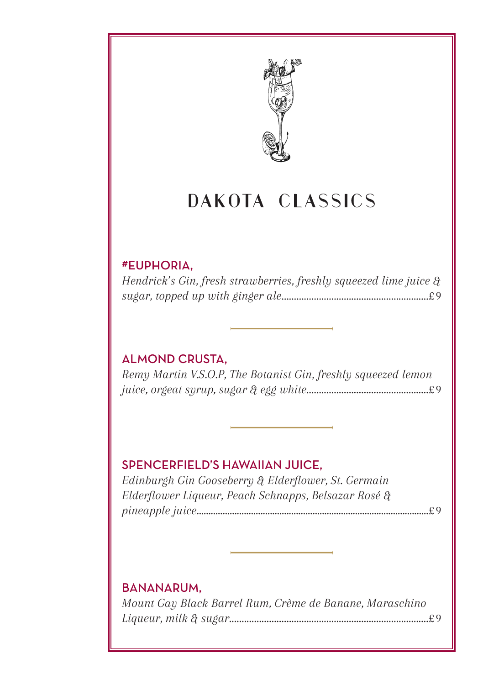

## **DAKOTA CLASSICS**

#### #EUPHORIA,

*Hendrick's Gin, fresh strawberries, freshly squeezed lime juice & sugar, topped up with ginger ale...........................................................*£9

#### ALMOND CRUSTA,

*Remy Martin V.S.O.P, The Botanist Gin, freshly squeezed lemon juice, orgeat syrup, sugar & egg white.................................................*£9

#### SPENCERFIELD'S HAWAIIAN JUICE,

*Edinburgh Gin Gooseberry & Elderflower, St. Germain Elderflower Liqueur, Peach Schnapps, Belsazar Rosé & pineapple juice..................................................................................................*£9

#### BANANARUM,

*Mount Gay Black Barrel Rum, Crème de Banane, Maraschino Liqueur, milk & sugar................................................................................*£9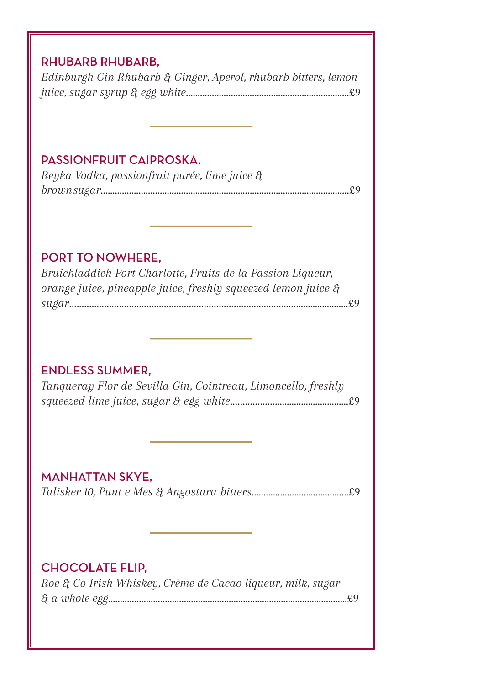#### RHUBARB RHUBARB,

*Edinburgh Gin Rhubarb & Ginger, Aperol, rhubarb bitters, lemon juice, sugar syrup & egg white.....................................................................*£9

#### PASSIONFRUIT CAIPROSKA,

*Reyka Vodka, passionfruit purée, lime juice & brown sugar.........................................................................................................*£9

#### PORT TO NOWHERE,

*Bruichladdich Port Charlotte, Fruits de la Passion Liqueur, orange juice, pineapple juice, freshly squeezed lemon juice & sugar.................................................................................................................*£9

#### ENDLESS SUMMER,

*Tanqueray Flor de Sevilla Gin, Cointreau, Limoncello, freshly squeezed lime juice, sugar & egg white.................................................*£9

#### MANHATTAN SKYE,

*Talisker 10, Punt e Mes & Angostura bitters.........................................*£9

#### CHOCOLATE FLIP,

*Roe & Co Irish Whiskey, Crème de Cacao liqueur, milk, sugar & a whole egg.....................................................................................................*£9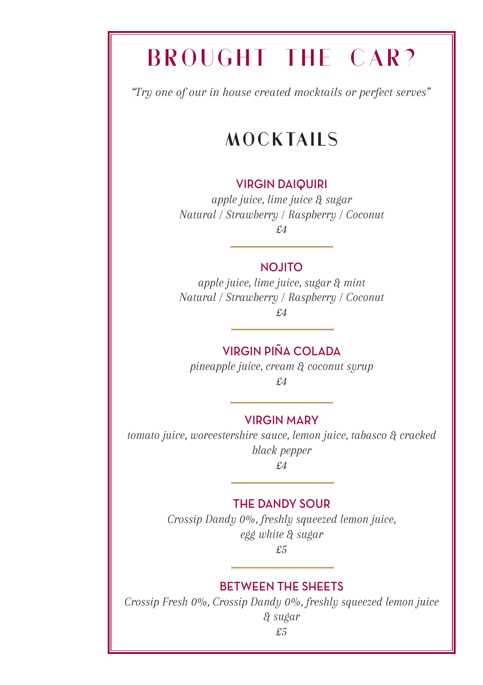# **BROUGHT THE CAR?**

*"Try one of our in house created mocktails or perfect serves"*

## **MOCKTAILS**

#### VIRGIN DAIQUIRI

*apple juice, lime juice & sugar Natural / Strawberry / Raspberry / Coconut £4*

NOJITO

*apple juice, lime juice, sugar & mint Natural / Strawberry / Raspberry / Coconut £4*

#### VIRGIN PIÑA COLADA

*pineapple juice, cream & coconut syrup*

*£4* 

#### VIRGIN MARY

*tomato juice, worcestershire sauce, lemon juice, tabasco & cracked black pepper £4*

#### THE DANDY SOUR

*Crossip Dandy 0%, freshly squeezed lemon juice, egg white & sugar £5*

#### BETWEEN THE SHEETS

*Crossip Fresh 0%, Crossip Dandy 0%, freshly squeezed lemon juice & sugar*

*£5*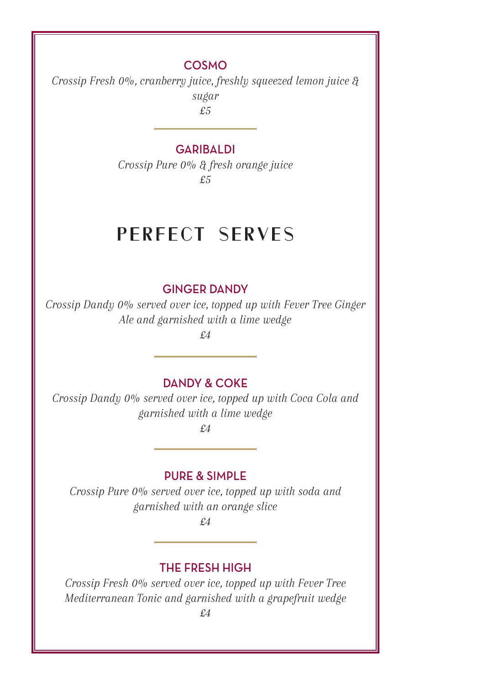#### COSMO

*Crossip Fresh 0%, cranberry juice, freshly squeezed lemon juice & sugar*

*£5* 

#### **GARIBALDI**

*Crossip Pure 0% & fresh orange juice £5*

### **PERFECT SERVES**

#### GINGER DANDY

*Crossip Dandy 0% served over ice, topped up with Fever Tree Ginger Ale and garnished with a lime wedge* 

*£4*

#### DANDY & COKE

*Crossip Dandy 0% served over ice, topped up with Coca Cola and garnished with a lime wedge*

*£4*

#### PURE & SIMPLE

*Crossip Pure 0% served over ice, topped up with soda and garnished with an orange slice* 

*£4*

#### THE FRESH HIGH

*Crossip Fresh 0% served over ice, topped up with Fever Tree Mediterranean Tonic and garnished with a grapefruit wedge £4*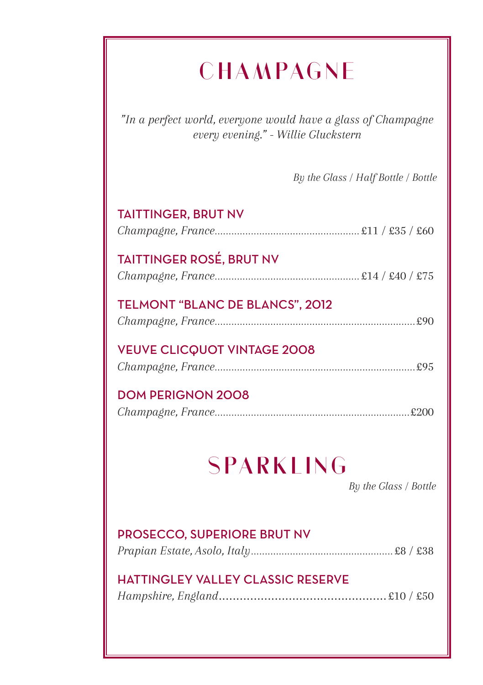# **CHAMPAGNE**

*"In a perfect world, everyone would have a glass of Champagne every evening." - Willie Gluckstern*

*By the Glass / Half Bottle / Bottle*

| <b>TAITTINGER, BRUT NV</b>                |  |  |
|-------------------------------------------|--|--|
| <b>TAITTINGER ROSÉ, BRUT NV</b>           |  |  |
| TELMONT "BLANC DE BLANCS", 2012           |  |  |
| <b>VEUVE CLICQUOT VINTAGE 2008</b>        |  |  |
| <b>DOM PERIGNON 2008</b>                  |  |  |
| <b>SPARKLING</b><br>By the Glass / Bottle |  |  |
| PROSECCO, SUPERIORE BRUT NV               |  |  |
| <b>HATTINGLEY VALLEY CLASSIC RESERVE</b>  |  |  |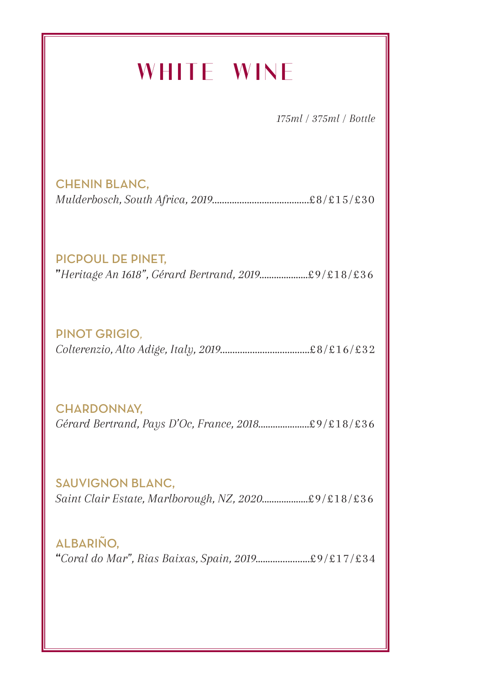# **WHITE WINE**

*175ml / 375ml / Bottle*

CHENIN BLANC, *Mulderbosch, South Africa, 2019.......................................*£8/£15/£30

PICPOUL DE PINET,

"*Heritage An 1618", Gérard Bertrand, 2019....................*£9/£18/£36

PINOT GRIGIO*, Colterenzio, Alto Adige, Italy, 2019....................................*£8/£16/£32

CHARDONNAY, *Gérard Bertrand, Pays D'Oc, France, 2018.....................*£9/£18/£36

SAUVIGNON BLANC, *Saint Clair Estate, Marlborough, NZ, 2020...................*£9/£18/£36

ALBARIÑO, "*Coral do Mar", Rias Baixas, Spain, 2019......................*£9/£17/£34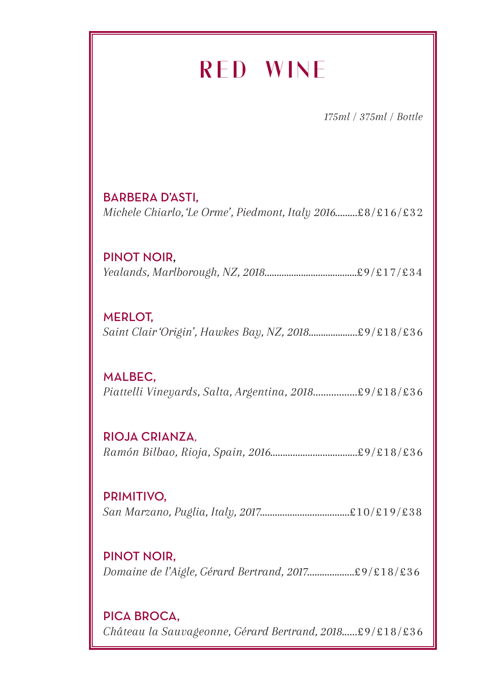## **RED WINE**

*175ml / 375ml / Bottle*

BARBERA D'ASTI, *Michele Chiarlo, 'Le Orme', Piedmont, Italy 2016.........*£8/£16/£32

PINOT NOIR, *Yealands, Marlborough, NZ, 2018......................................*£9/£17/£34

MERLOT, *Saint Clair 'Origin', Hawkes Bay, NZ, 2018....................*£9/£18/£36

MALBEC, *Piattelli Vineyards, Salta, Argentina, 2018.................*£9/£18/£36

RIOJA CRIANZA*, Ramón Bilbao, Rioja, Spain, 2016...................................*£9/£18/£36

PRIMITIVO, *San Marzano, Puglia, Italy, 2017....................................*£10/£19/£38

PINOT NOIR, *Domaine de l'Aigle, Gérard Bertrand, 2017...................*£9/£18/£36

PICA BROCA, *Château la Sauvageonne, Gérard Bertrand, 2018......*£9/£18/£36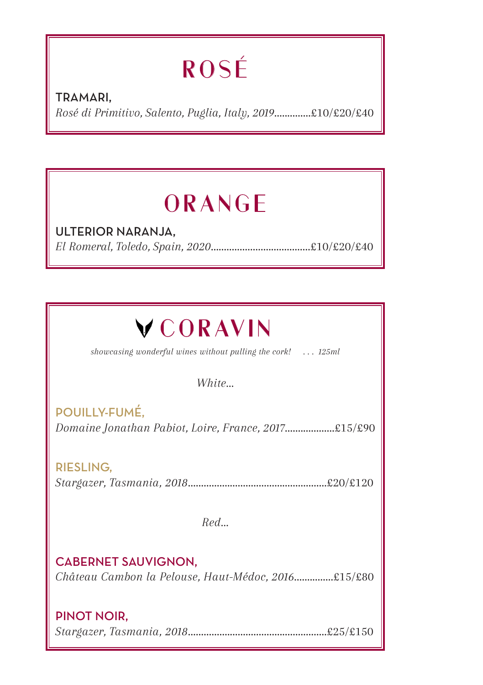# **ROSÉ**

TRAMARI, *Rosé di Primitivo, Salento, Puglia, Italy, 2019*..............£10/£20/£40

## **ORANGE**

ULTERIOR NARANJA, *El Romeral, Toledo, Spain, 2020*......................................£10/£20/£40

# **VCORAVIN**

*showcasing wonderful wines without pulling the cork! . . . 125ml*

*White...*

POUILLY-FUMÉ, *Domaine Jonathan Pabiot, Loire, France, 2017*...................£15/£90

RIESLING, *Stargazer, Tasmania, 2018*.....................................................£20/£120

*Red...*

CABERNET SAUVIGNON, *Château Cambon la Pelouse, Haut-Médoc, 2016*...............£15/£80

#### PINOT NOIR,

*Stargazer, Tasmania, 2018*.....................................................£25/£150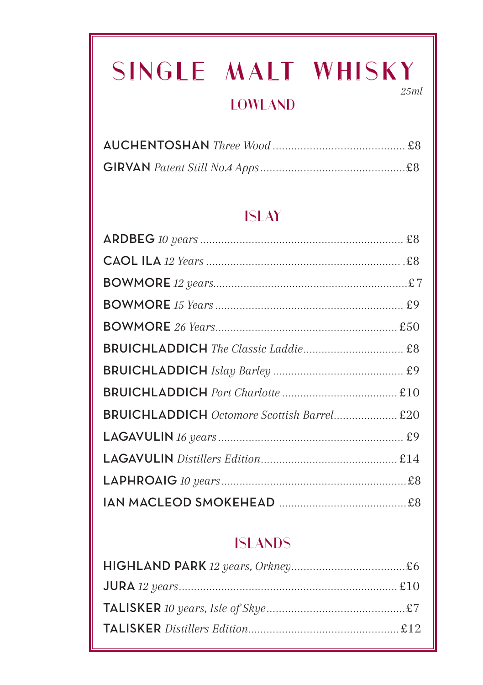# **SINGLE MALT WHISKY**

### **LOWLAND**

*25ml*

### **ISLAY**

| BRUICHLADDICH Octomore Scottish Barrel £20                                                                                                       |  |
|--------------------------------------------------------------------------------------------------------------------------------------------------|--|
|                                                                                                                                                  |  |
|                                                                                                                                                  |  |
|                                                                                                                                                  |  |
| ${\small\textsf{IAN}}\textsf{MACLEOD} {\small\textsf{SMOKEHEAD}}\textsf{}{\small\textsf{}}{\small\textsf{}}{\small\textsf{}}{\small\textsf{B3}}$ |  |

### **ISLANDS**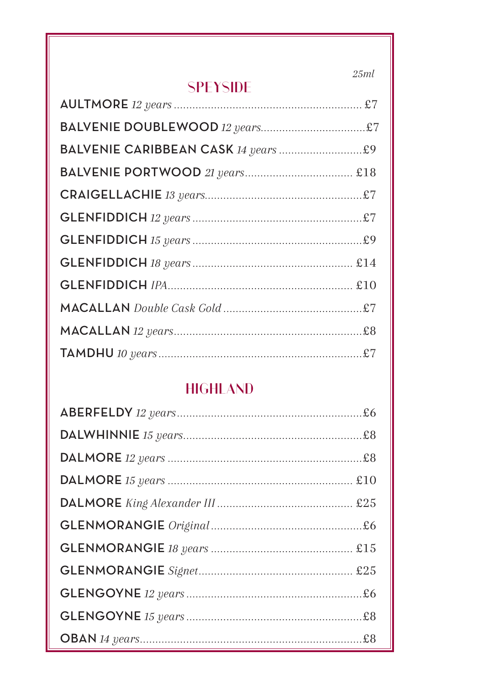$25ml$ 

### **SPEYSIDE**

### **HIGHLAND**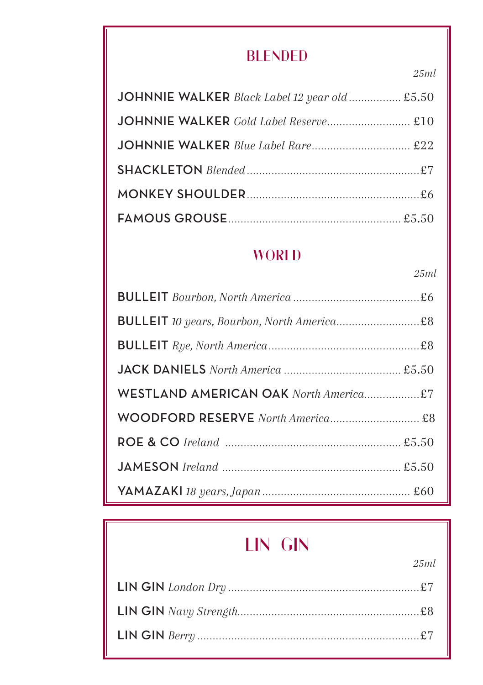### **BLENDED** *25ml*

| JOHNNIE WALKER Black Label 12 year old  £5.50 |  |
|-----------------------------------------------|--|
| JOHNNIE WALKER Gold Label Reserve £10         |  |
|                                               |  |
|                                               |  |
|                                               |  |
|                                               |  |

### **WORLD**

 *25ml*

| WESTLAND AMERICAN OAK North America£7 |  |
|---------------------------------------|--|
|                                       |  |
|                                       |  |
|                                       |  |
|                                       |  |

## **LIN GIN**

*25ml*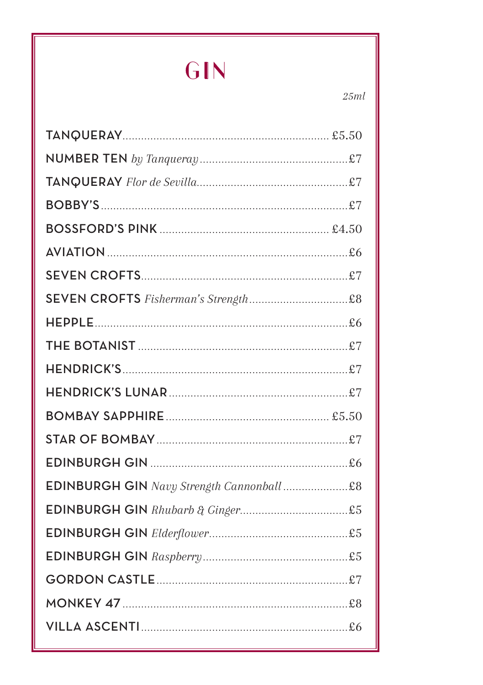GIN

 $25ml$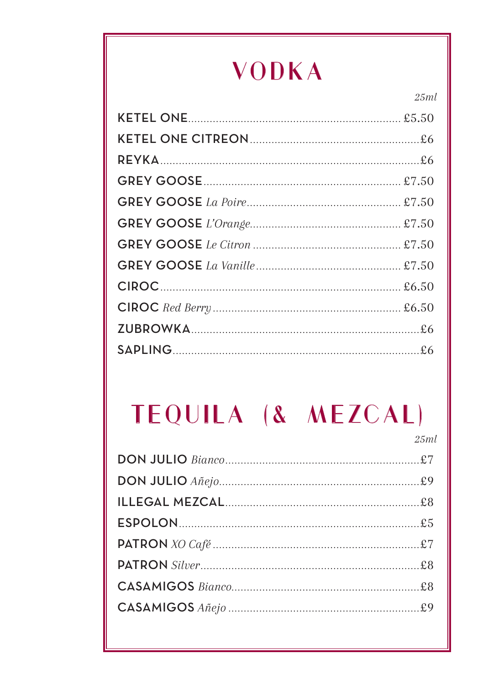# **VODKA**

 $25ml$ 

## TEQUILA (& MEZCAL)  $25ml$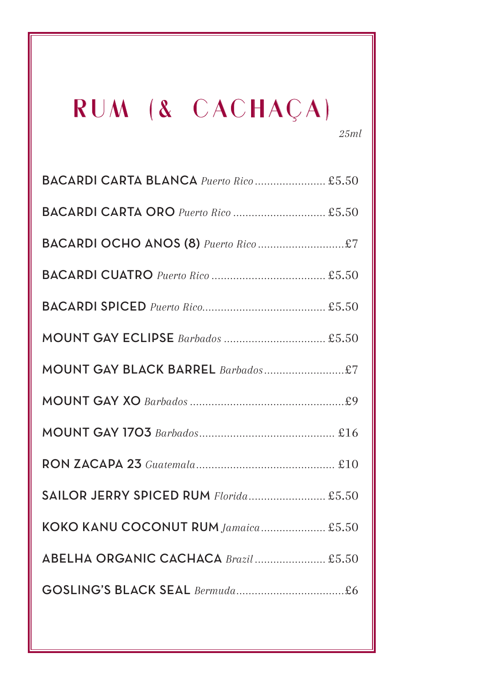# **RUM (& CACHAÇA)**

*25ml*

| BACARDI CARTA BLANCA Puerto Rico £5.50 |
|----------------------------------------|
| BACARDI CARTA ORO Puerto Rico  £5.50   |
|                                        |
|                                        |
|                                        |
|                                        |
|                                        |
|                                        |
|                                        |
|                                        |
| SAILOR JERRY SPICED RUM Florida £5.50  |
| KOKO KANU COCONUT RUM Jamaica £5.50    |
| ABELHA ORGANIC CACHACA Brazil  £5.50   |
|                                        |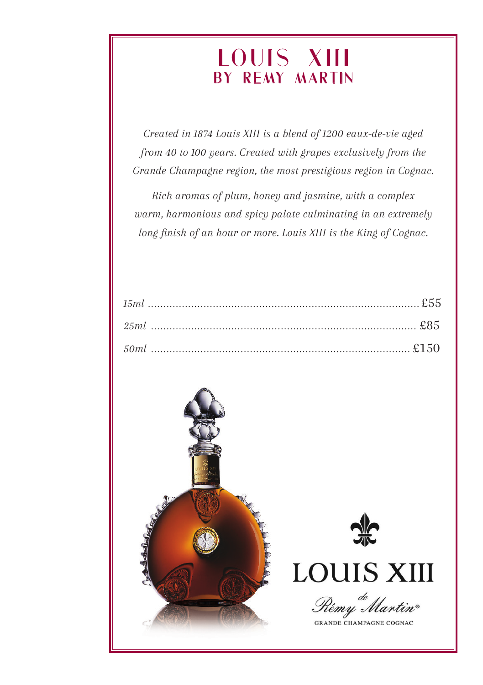## **LOUIS XIII by Remy Martin**

*Created in 1874 Louis XIII is a blend of 1200 eaux-de-vie aged from 40 to 100 years. Created with grapes exclusively from the Grande Champagne region, the most prestigious region in Cognac.*

*Rich aromas of plum, honey and jasmine, with a complex warm, harmonious and spicy palate culminating in an extremely long finish of an hour or more. Louis XIII is the King of Cognac.*

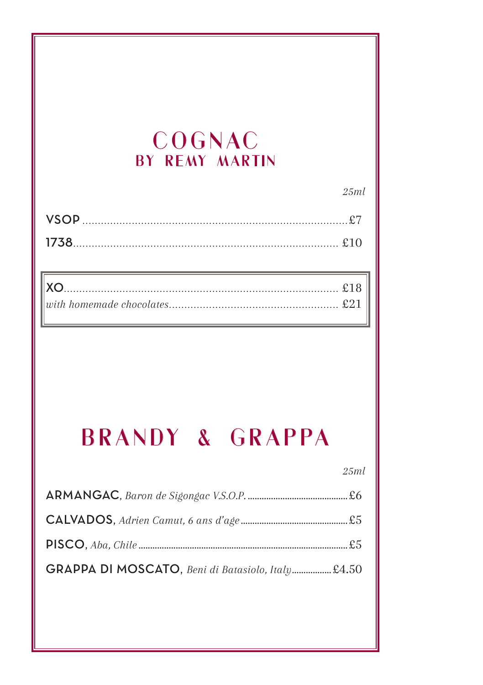### COGNAC BY REMY MARTIN

| <b>VSOP</b> |  |
|-------------|--|
|             |  |

# **BRANDY & GRAPPA**

 $25ml$ 

 $25ml$ 

| GRAPPA DI MOSCATO, Beni di Batasiolo, Italy £4.50 |  |
|---------------------------------------------------|--|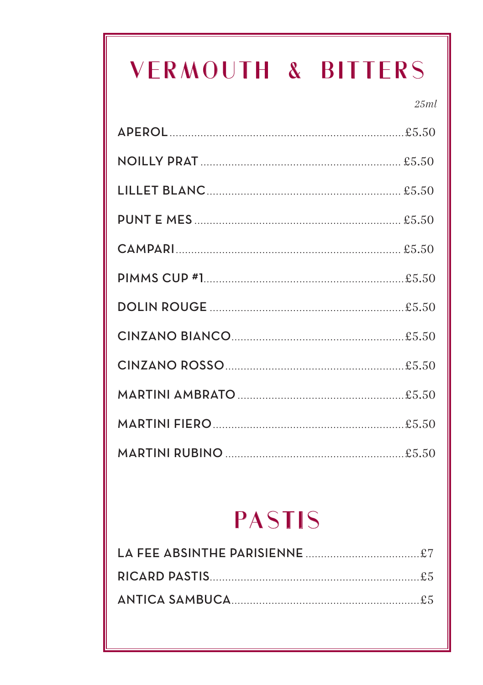# VERMOUTH & BITTERS

 $25ml$ 

# **PASTIS**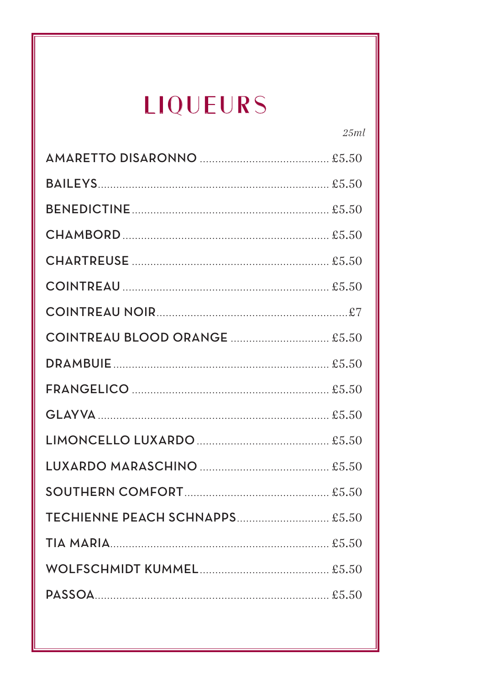# **LIQUEURS**

 $25ml$ 

| COINTREAU BLOOD ORANGE  £5.50  |
|--------------------------------|
|                                |
|                                |
|                                |
|                                |
|                                |
|                                |
| TECHIENNE PEACH SCHNAPPS £5.50 |
|                                |
|                                |
|                                |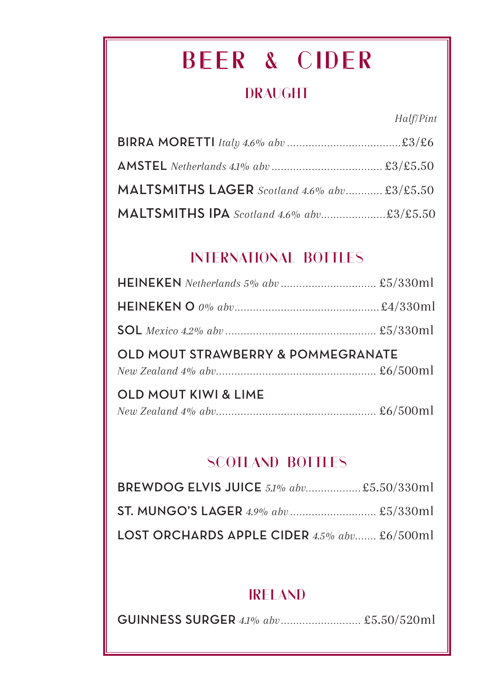# **BEER & CIDER**

### **DRAUGHT**

*Half/Pint*

| MALTSMITHS LAGER Scotland 4.6% abv £3/£5.50 |  |
|---------------------------------------------|--|
| MALTSMITHS IPA Scotland 4.6% abv£3/£5.50    |  |

### **INTERNATIONAL BOTTLES**

| OLD MOUT STRAWBERRY & POMMEGRANATE |  |
|------------------------------------|--|
|                                    |  |
| <b>OLD MOUT KIWI &amp; LIME</b>    |  |

### **SCOTLAND BOTTLES**

| <b>BREWDOG ELVIS JUICE</b> 5.1% abv £5.50/330ml |  |
|-------------------------------------------------|--|
|                                                 |  |
| LOST ORCHARDS APPLE CIDER $4.5\%$ abv £6/500ml  |  |

### **IRELAND**

GUINNESS SURGER *4.1% abv ..........................* £5.50/520ml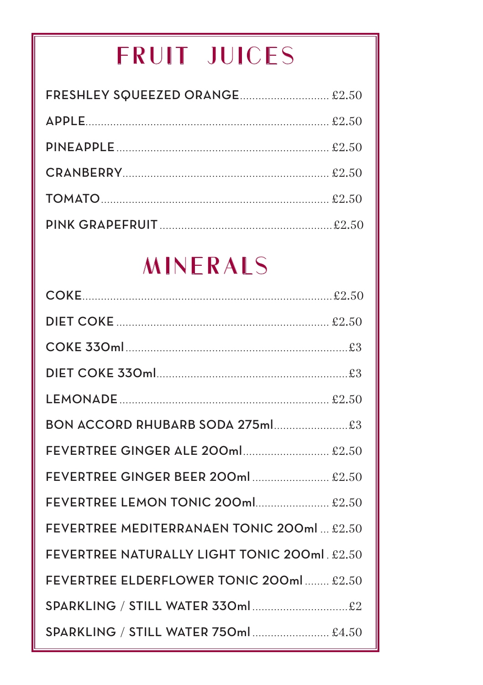# **FRUIT JUICES**

# **MINERALS**

| BON ACCORD RHUBARB SODA 275ml£3              |
|----------------------------------------------|
| FEVERTREE GINGER ALE 200ml £2.50             |
| FEVERTREE GINGER BEER 200ml  £2.50           |
| <b>FEVERTREE LEMON TONIC 200ml £2.50</b>     |
| FEVERTREE MEDITERRANAEN TONIC 200ml  £2.50   |
| FEVERTREE NATURALLY LIGHT TONIC 200ml. £2.50 |
| FEVERTREE ELDERFLOWER TONIC 200ml  £2.50     |
| SPARKLING / STILL WATER 330ml£2              |
| SPARKLING / STILL WATER 750ml  £4.50         |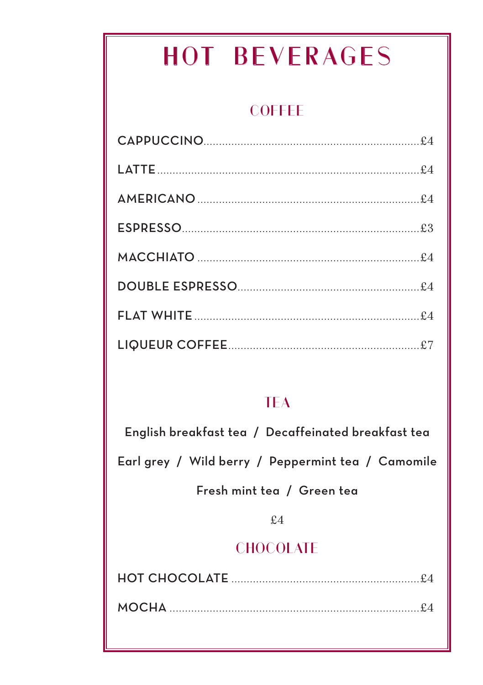# **HOT BEVERAGES**

### **COFFEE**

| ESPRESSO |  |
|----------|--|
|          |  |
|          |  |
|          |  |
|          |  |

### **TFA**

English breakfast tea / Decaffeinated breakfast tea

Earl grey / Wild berry / Peppermint tea / Camomile

Fresh mint tea / Green tea

 $f.4$ 

### **CHOCOLATE**